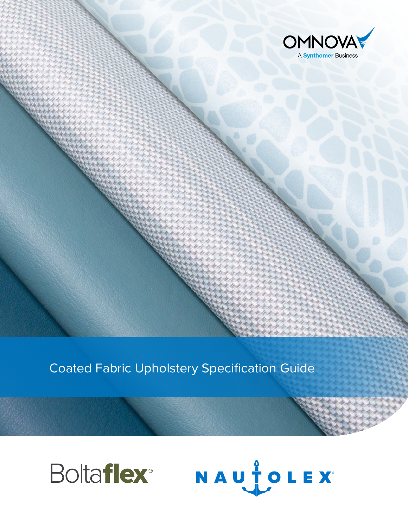

Coated Fabric Upholstery Specification Guide



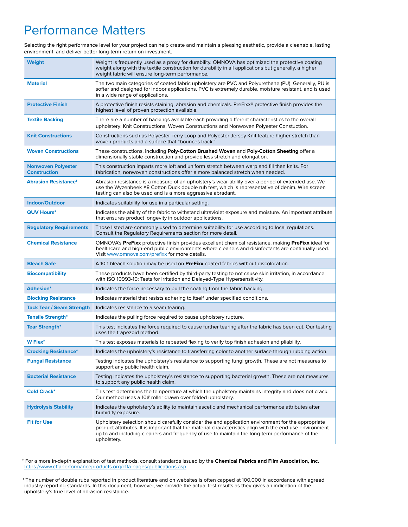# Performance Matters

Selecting the right performance level for your project can help create and maintain a pleasing aesthetic, provide a cleanable, lasting environment, and deliver better long-term return on investment.

| <b>Weight</b>                                    | Weight is frequently used as a proxy for durability. OMNOVA has optimized the protective coating<br>weight along with the textile construction for durability in all applications but generally, a higher<br>weight fabric will ensure long-term performance.                                                                   |
|--------------------------------------------------|---------------------------------------------------------------------------------------------------------------------------------------------------------------------------------------------------------------------------------------------------------------------------------------------------------------------------------|
| <b>Material</b>                                  | The two main categories of coated fabric upholstery are PVC and Polyurethane (PU). Generally, PU is<br>softer and designed for indoor applications. PVC is extremely durable, moisture resistant, and is used<br>in a wide range of applications.                                                                               |
| <b>Protective Finish</b>                         | A protective finish resists staining, abrasion and chemicals. PreFixx® protective finish provides the<br>highest level of proven protection available.                                                                                                                                                                          |
| <b>Textile Backing</b>                           | There are a number of backings available each providing different characteristics to the overall<br>upholstery: Knit Constructions, Woven Constructions and Nonwoven Polyester Constuction.                                                                                                                                     |
| <b>Knit Constructions</b>                        | Constructions such as Polyester Terry Loop and Polyester Jersey Knit feature higher stretch than<br>woven products and a surface that "bounces back."                                                                                                                                                                           |
| <b>Woven Constructions</b>                       | These constructions, including Poly-Cotton Brushed Woven and Poly-Cotton Sheeting offer a<br>dimensionally stable construction and provide less stretch and elongation.                                                                                                                                                         |
| <b>Nonwoven Polyester</b><br><b>Construction</b> | This construction imparts more loft and uniform stretch between warp and fill than knits. For<br>fabrication, nonwoven constructions offer a more balanced stretch when needed.                                                                                                                                                 |
| <b>Abrasion Resistance<sup>+</sup></b>           | Abrasion resistance is a measure of an upholstery's wear-ability over a period of extended use. We<br>use the Wyzenbeek #8 Cotton Duck double rub test, which is representative of denim. Wire screen<br>testing can also be used and is a more aggressive abradant.                                                            |
| Indoor/Outdoor                                   | Indicates suitability for use in a particular setting.                                                                                                                                                                                                                                                                          |
| <b>QUV Hours*</b>                                | Indicates the ability of the fabric to withstand ultraviolet exposure and moisture. An important attribute<br>that ensures product longevity in outdoor applications.                                                                                                                                                           |
| <b>Regulatory Requirements</b>                   | Those listed are commonly used to determine suitability for use according to local regulations.<br>Consult the Regulatory Requirements section for more detail.                                                                                                                                                                 |
| <b>Chemical Resistance</b>                       | OMNOVA's PreFixx protective finish provides excellent chemical resistance, making PreFixx ideal for<br>healthcare and high-end public environments where cleaners and disinfectants are continually used.<br>Visit www.omnova.com/prefixx for more details.                                                                     |
| <b>Bleach Safe</b>                               | A 10:1 bleach solution may be used on PreFixx coated fabrics without discoloration.                                                                                                                                                                                                                                             |
| <b>Biocompatibility</b>                          | These products have been certified by third-party testing to not cause skin irritation, in accordance<br>with ISO 10993-10: Tests for Irritation and Delayed-Type Hypersensitivity.                                                                                                                                             |
| <b>Adhesion*</b>                                 | Indicates the force necessary to pull the coating from the fabric backing.                                                                                                                                                                                                                                                      |
| <b>Blocking Resistance</b>                       | Indicates material that resists adhering to itself under specified conditions.                                                                                                                                                                                                                                                  |
| <b>Tack Tear / Seam Strength</b>                 | Indicates resistance to a seam tearing.                                                                                                                                                                                                                                                                                         |
| <b>Tensile Strength*</b>                         | Indicates the pulling force required to cause upholstery rupture.                                                                                                                                                                                                                                                               |
| <b>Tear Strength*</b>                            | This test indicates the force required to cause further tearing after the fabric has been cut. Our testing<br>uses the trapezoid method.                                                                                                                                                                                        |
| <b>W</b> Flex*                                   | This test exposes materials to repeated flexing to verify top finish adhesion and pliability.                                                                                                                                                                                                                                   |
| <b>Crocking Resistance*</b>                      | Indicates the upholstery's resistance to transferring color to another surface through rubbing action.                                                                                                                                                                                                                          |
| <b>Fungal Resistance</b>                         | Testing indicates the upholstery's resistance to supporting fungi growth. These are not measures to<br>support any public health claim.                                                                                                                                                                                         |
| <b>Bacterial Resistance</b>                      | Testing indicates the upholstery's resistance to supporting bacterial growth. These are not measures<br>to support any public health claim.                                                                                                                                                                                     |
| <b>Cold Crack*</b>                               | This test determines the temperature at which the upholstery maintains integrity and does not crack.<br>Our method uses a 10# roller drawn over folded upholstery.                                                                                                                                                              |
| <b>Hydrolysis Stability</b>                      | Indicates the upholstery's ability to maintain ascetic and mechanical performance attributes after<br>humidity exposure.                                                                                                                                                                                                        |
| <b>Fit for Use</b>                               | Upholstery selection should carefully consider the end application environment for the appropriate<br>product attributes. It is important that the material characteristics align with the end-use environment<br>up to and including cleaners and frequency of use to maintain the long-term performance of the<br>upholstery. |

\* For a more in-depth explanation of test methods, consult standards issued by the **Chemical Fabrics and Film Association, Inc.** <https://www.cffaperformanceproducts.org/cffa-pages/publications.asp>

† The number of double rubs reported in product literature and on websites is often capped at 100,000 in accordance with agreed industry reporting standards. In this document, however, we provide the actual test results as they gives an indication of the upholstery's true level of abrasion resistance.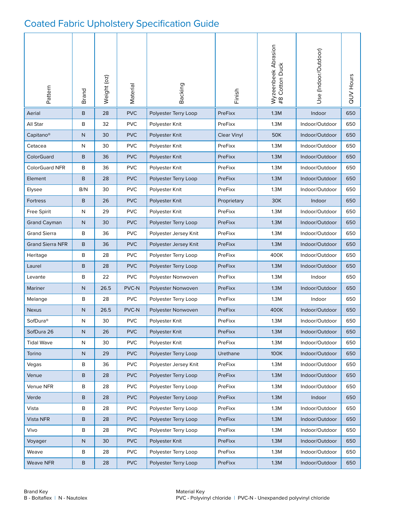#### Coated Fabric Upholstery Specification Guide

| Pattern                 | Brand        | Weight (oz) | Material   | Backing                                  | Finish          | Wyzeenbeek Abrasion<br>#8 Cotton Duck | Use (Indoor/Outdoor) | <b>QUV Hours</b> |
|-------------------------|--------------|-------------|------------|------------------------------------------|-----------------|---------------------------------------|----------------------|------------------|
| Aerial                  | B            | 28          | <b>PVC</b> | Polyester Terry Loop                     | PreFixx         | 1.3M                                  | Indoor               | 650              |
| All Star                | B            | 32          | <b>PVC</b> | Polyester Knit                           | PreFixx         | 1.3M                                  | Indoor/Outdoor       | 650              |
| Capitano <sup>®</sup>   | N            | 30          | <b>PVC</b> | Polyester Knit                           | Clear Vinyl     | <b>50K</b>                            | Indoor/Outdoor       | 650              |
| Cetacea                 | N            | 30          | <b>PVC</b> | Polyester Knit                           | PreFixx         | 1.3M                                  | Indoor/Outdoor       | 650              |
| ColorGuard              | B            | 36          | <b>PVC</b> | Polyester Knit                           | PreFixx         | 1.3M                                  | Indoor/Outdoor       | 650              |
| <b>ColorGuard NFR</b>   | B            | 36          | <b>PVC</b> | Polyester Knit                           | PreFixx         | 1.3M                                  | Indoor/Outdoor       | 650              |
| Element                 | B            | 28          | <b>PVC</b> | Polyester Terry Loop                     | PreFixx         | 1.3M                                  | Indoor/Outdoor       | 650              |
| Elysee                  | B/N          | 30          | <b>PVC</b> | Polyester Knit                           | PreFixx         | 1.3M                                  | Indoor/Outdoor       | 650              |
| <b>Fortress</b>         | B            | 26          | <b>PVC</b> | Polyester Knit<br>Proprietary            |                 | 30K                                   | Indoor               | 650              |
| Free Spirit             | N            | 29          | <b>PVC</b> | Polyester Knit<br>PreFixx<br>1.3M        |                 | Indoor/Outdoor                        | 650                  |                  |
| <b>Grand Cayman</b>     | N            | 30          | <b>PVC</b> | Polyester Terry Loop<br>PreFixx<br>1.3M  |                 | Indoor/Outdoor                        | 650                  |                  |
| <b>Grand Sierra</b>     | B            | 36          | <b>PVC</b> | PreFixx<br>Polyester Jersey Knit<br>1.3M |                 | Indoor/Outdoor                        | 650                  |                  |
| <b>Grand Sierra NFR</b> | B            | 36          | <b>PVC</b> | Polyester Jersey Knit<br>PreFixx<br>1.3M |                 | Indoor/Outdoor                        | 650                  |                  |
| Heritage                | B            | 28          | <b>PVC</b> | PreFixx<br>400K<br>Polyester Terry Loop  |                 | Indoor/Outdoor                        | 650                  |                  |
| Laurel                  | B            | 28          | <b>PVC</b> | PreFixx<br>1.3M<br>Polyester Terry Loop  |                 | Indoor/Outdoor                        | 650                  |                  |
| Levante                 | В            | 22          | <b>PVC</b> | Polyester Nonwoven<br>PreFixx<br>1.3M    |                 | Indoor                                | 650                  |                  |
| Mariner                 | $\mathsf{N}$ | 26.5        | PVC-N      | PreFixx<br>1.3M<br>Polyester Nonwoven    |                 |                                       | Indoor/Outdoor       | 650              |
| Melange                 | B            | 28          | <b>PVC</b> | Polyester Terry Loop                     | PreFixx         |                                       | Indoor               | 650              |
| <b>Nexus</b>            | N            | 26.5        | PVC-N      | Polyester Nonwoven                       | PreFixx         | 400K                                  | Indoor/Outdoor       | 650              |
| SofDura <sup>®</sup>    | N            | 30          | <b>PVC</b> | Polyester Knit                           | PreFixx         | 1.3M                                  | Indoor/Outdoor       | 650              |
| SofDura 26              | ${\sf N}$    | 26          | <b>PVC</b> | Polyester Knit                           | PreFixx         | 1.3M                                  | Indoor/Outdoor       | 650              |
| <b>Tidal Wave</b>       | ${\sf N}$    | 30          | <b>PVC</b> | Polyester Knit                           | PreFixx         | 1.3M                                  | Indoor/Outdoor       | 650              |
| Torino                  | $\mathsf{N}$ | 29          | <b>PVC</b> | Polyester Terry Loop                     | Urethane        | 100K                                  | Indoor/Outdoor       | 650              |
| Vegas                   | В            | 36          | <b>PVC</b> | Polyester Jersey Knit                    | PreFixx         | 1.3M                                  | Indoor/Outdoor       | 650              |
| Venue                   | B            | 28          | <b>PVC</b> | Polyester Terry Loop                     | 1.3M<br>PreFixx |                                       | Indoor/Outdoor       | 650              |
| Venue NFR               | B            | 28          | <b>PVC</b> | Polyester Terry Loop                     | PreFixx<br>1.3M |                                       | Indoor/Outdoor       | 650              |
| Verde                   | B            | 28          | <b>PVC</b> | Polyester Terry Loop<br>PreFixx<br>1.3M  |                 | Indoor                                | 650                  |                  |
| Vista                   | В            | 28          | <b>PVC</b> | Polyester Terry Loop                     | PreFixx         | 1.3M                                  | Indoor/Outdoor       | 650              |
| Vista NFR               | B            | 28          | <b>PVC</b> | Polyester Terry Loop<br>1.3M<br>PreFixx  |                 | Indoor/Outdoor                        | 650                  |                  |
| Vivo                    | B            | 28          | <b>PVC</b> | Polyester Terry Loop                     | PreFixx         | 1.3M                                  | Indoor/Outdoor       | 650              |
| Voyager                 | ${\sf N}$    | 30          | <b>PVC</b> | Polyester Knit                           | PreFixx         | 1.3M                                  | Indoor/Outdoor       | 650              |
| Weave                   | В            | 28          | <b>PVC</b> | Polyester Terry Loop                     | PreFixx         | 1.3M                                  | Indoor/Outdoor       | 650              |
| Weave NFR               | В            | 28          | <b>PVC</b> | Polyester Terry Loop                     | PreFixx         | 1.3M                                  | Indoor/Outdoor       | 650              |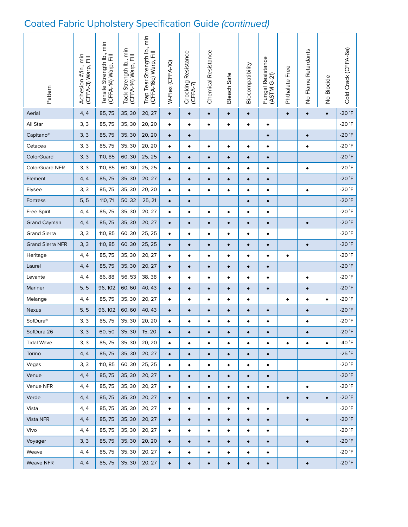# Coated Fabric Upholstery Specification Guide (continued)

| Pattern                 | Adhesion #/in., min<br>(CFFA-3) Warp, Fill | Tensile Strength Ib., min<br>(CFFA-14) Warp, Fill | Tack Strength Ib., min<br>(CFFA-14) Warp, Fill | Trap Tear Strength Ib., min<br>(CFFA-16c) Warp, Fill | W-Flex (CFFA-10) | Crocking Resistance<br>$(CFA-7)$ | Chemical Resistance | Bleach Safe | Biocompatibility | Fungal Resistance<br>(ASTM G-21) | Phthalate Free | No Flame Retardants | No Biocide | Cold Crack (CFFA-6a) |
|-------------------------|--------------------------------------------|---------------------------------------------------|------------------------------------------------|------------------------------------------------------|------------------|----------------------------------|---------------------|-------------|------------------|----------------------------------|----------------|---------------------|------------|----------------------|
| Aerial                  | 4, 4                                       | 85,75                                             | 35, 30                                         | 20, 27                                               | $\bullet$        | $\bullet$                        | $\bullet$           | $\bullet$   | $\bullet$        |                                  | $\bullet$      | $\bullet$           | $\bullet$  | $-20$ <sup>°</sup> F |
| All Star                | 3, 3                                       | 85,75                                             | 35, 30                                         | 20, 20                                               | $\bullet$        | $\bullet$                        | ٠                   | $\bullet$   | $\bullet$        | $\bullet$                        |                |                     |            | $-20$ <sup>°</sup> F |
| Capitano <sup>®</sup>   | 3, 3                                       | 85,75                                             | 35, 30                                         | 20, 20                                               | $\bullet$        | $\bullet$                        |                     |             |                  | $\bullet$                        |                | $\bullet$           |            | $-20$ $\degree$ F    |
| Cetacea                 | 3, 3                                       | 85,75                                             | 35, 30                                         | 20, 20                                               | $\bullet$        | $\bullet$                        | $\bullet$           | $\bullet$   | $\bullet$        | $\bullet$                        |                | $\bullet$           |            | -20 $\degree$ F      |
| ColorGuard              | 3, 3                                       | 110, 85                                           | 60,30                                          | 25, 25                                               | $\bullet$        | $\bullet$                        | $\bullet$           | $\bullet$   | $\bullet$        | $\bullet$                        |                |                     |            | $-20$ <sup>°</sup> F |
| <b>ColorGuard NFR</b>   | 3, 3                                       | 110, 85                                           | 60, 30                                         | 25, 25                                               | ٠                | ٠                                | $\bullet$           | ٠           | ٠                | $\bullet$                        |                | $\bullet$           |            | -20 $\degree$ F      |
| Element                 | 4, 4                                       | 85,75                                             | 35, 30                                         | 20, 27                                               | $\bullet$        | $\bullet$                        | $\bullet$           | $\bullet$   | $\bullet$        | $\bullet$                        |                |                     |            | $-20$ <sup>°</sup> F |
| Elysee                  | 3, 3                                       | 85,75                                             | 35, 30                                         | 20, 20                                               | $\bullet$        | ٠                                | $\bullet$           | $\bullet$   | $\bullet$        | $\bullet$                        |                | $\bullet$           |            | $-20$ $\degree$ F    |
| Fortress                | 5, 5                                       | 110, 71                                           | 50, 32                                         | 25, 21                                               | $\bullet$        | $\bullet$                        |                     |             | $\bullet$        | $\bullet$                        |                |                     |            | $-20$ <sup>°</sup> F |
| <b>Free Spirit</b>      | 4, 4                                       | 85,75                                             | 35, 30                                         | 20, 27                                               | ٠                | ٠                                | ٠                   | ٠           | $\bullet$        | ٠                                |                |                     |            | $-20$ <sup>°</sup> F |
| <b>Grand Cayman</b>     | 4, 4                                       | 85,75                                             | 35, 30                                         | 20, 27                                               | $\bullet$        | ٠                                | $\bullet$           | $\bullet$   | $\bullet$        | $\bullet$                        |                | $\bullet$           |            | $-20$ $\degree$ F    |
| <b>Grand Sierra</b>     | 3, 3                                       | 110, 85                                           | 60, 30                                         | 25, 25                                               | ٠                | ٠                                | ٠                   | ٠           | ٠                | ٠                                |                |                     |            | $-20$ <sup>°</sup> F |
| <b>Grand Sierra NFR</b> | 3, 3                                       | 110, 85                                           | 60, 30                                         | 25, 25                                               | $\bullet$        | ۰                                | $\bullet$           | $\bullet$   | $\bullet$        | $\bullet$                        |                | $\bullet$           |            | $-20$ <sup>°</sup> F |
| Heritage                | 4, 4                                       | 85,75                                             | 35, 30                                         | 20, 27                                               | ٠                | ٠                                | ٠                   | ٠           | $\bullet$        | ٠                                | $\bullet$      |                     |            | $-20$ <sup>°</sup> F |
| Laurel                  | 4, 4                                       | 85,75                                             | 35, 30                                         | 20, 27                                               | $\bullet$        | $\bullet$                        | $\bullet$           | $\bullet$   | $\bullet$        | $\bullet$                        |                |                     |            | $-20$ <sup>°</sup> F |
| Levante                 | 4, 4                                       | 86, 88                                            | 56, 53                                         | 38, 38                                               | ٠                | $\bullet$                        | $\bullet$           | ٠           | $\bullet$        | $\bullet$                        |                | ٠                   |            | $-20$ <sup>°</sup> F |
| Mariner                 | 5, 5                                       | 96, 102                                           | 60,60                                          | 40, 43                                               | $\bullet$        | $\bullet$                        | $\bullet$           | $\bullet$   | $\bullet$        | $\bullet$                        |                | $\bullet$           |            | $-20$ <sup>°</sup> F |
| Melange                 | 4, 4                                       | 85,75                                             | 35, 30                                         | 20, 27                                               | $\bullet$        | $\bullet$                        | $\bullet$           | $\bullet$   | $\bullet$        |                                  | $\bullet$      | $\bullet$           | $\bullet$  | $-20$ $\degree$ F    |
| Nexus                   | 5, 5                                       | 96, 102                                           | 60,60                                          | 40, 43                                               | $\bullet$        | $\bullet$                        | $\bullet$           | $\bullet$   | $\bullet$        | $\bullet$                        |                | $\bullet$           |            | $-20$ <sup>°</sup> F |
| SofDura <sup>®</sup>    | 3, 3                                       | 85,75                                             | 35, 30                                         | 20, 20                                               | $\bullet$        | $\bullet$                        | $\bullet$           | $\bullet$   | $\bullet$        | $\bullet$                        |                | $\bullet$           |            | $-20$ <sup>°</sup> F |
| SofDura 26              | 3, 3                                       | 60, 50                                            | 35, 30                                         | 15, 20                                               |                  |                                  | $\bullet$           | $\bullet$   | $\bullet$        | $\bullet$                        |                | $\bullet$           |            | $-20$ $\degree$ F    |
| <b>Tidal Wave</b>       | 3, 3                                       | 85,75                                             | 35, 30                                         | 20, 20                                               |                  | $\bullet$                        | ٠                   | ٠           | $\bullet$        | $\bullet$                        | $\bullet$      | $\bullet$           | $\bullet$  | -40 °F               |
| Torino                  | 4, 4                                       | 85,75                                             | 35, 30                                         | 20, 27                                               | $\bullet$        | $\bullet$                        | $\bullet$           | $\bullet$   | $\bullet$        | $\bullet$                        |                |                     |            | $-25$ $\degree$ F    |
| Vegas                   | 3, 3                                       | 110, 85                                           | 60, 30                                         | 25, 25                                               | ٠                | $\bullet$                        | ٠                   | $\bullet$   | $\bullet$        | $\bullet$                        |                |                     |            | $-20$ $\degree$ F    |
| Venue                   | 4, 4                                       | 85,75                                             | 35, 30                                         | 20, 27                                               | ٠                | $\bullet$                        | $\bullet$           | $\bullet$   | $\bullet$        | $\bullet$                        |                |                     |            | $-20$ $\degree$ F    |
| Venue NFR               | 4, 4                                       | 85,75                                             | 35, 30                                         | 20, 27                                               | $\bullet$        | $\bullet$                        | $\bullet$           | ٠           | $\bullet$        | $\bullet$                        |                | $\bullet$           |            | -20 °F               |
| Verde                   | 4, 4                                       | 85,75                                             | 35, 30                                         | 20, 27                                               | $\bullet$        | $\bullet$                        | $\bullet$           | $\bullet$   | $\bullet$        |                                  | $\bullet$      | $\bullet$           | $\bullet$  | $-20$ $\degree$ F    |
| Vista                   | 4, 4                                       | 85,75                                             | 35, 30                                         | 20, 27                                               | $\bullet$        | $\bullet$                        | ٠                   | ٠           | $\bullet$        | $\bullet$                        |                |                     |            | $-20$ $\degree$ F    |
| Vista NFR               | 4, 4                                       | 85,75                                             | 35, 30                                         | 20, 27                                               | $\bullet$        | $\bullet$                        | $\bullet$           | $\bullet$   | $\bullet$        | $\bullet$                        |                | $\bullet$           |            | $-20$ $\degree$ F    |
| Vivo                    | 4, 4                                       | 85,75                                             | 35, 30                                         | 20, 27                                               | $\bullet$        | $\bullet$                        | $\bullet$           | $\bullet$   | $\bullet$        | $\bullet$                        |                |                     |            | $-20$ $\degree$ F    |
| Voyager                 | 3, 3                                       | 85,75                                             | 35, 30                                         | 20, 20                                               | $\bullet$        | $\bullet$                        | $\bullet$           | $\bullet$   | $\bullet$        | $\bullet$                        |                | $\bullet$           |            | $-20$ $\degree$ F    |
| Weave                   | 4, 4                                       | 85,75                                             | 35, 30                                         | 20, 27                                               | ٠                | $\bullet$                        | ٠                   | ٠           | $\bullet$        | $\bullet$                        |                |                     |            | $-20$ $\degree$ F    |
| Weave NFR               | 4, 4                                       | 85,75                                             | 35, 30                                         | 20, 27                                               | $\bullet$        | $\bullet$                        | $\bullet$           | $\bullet$   | $\bullet$        | $\bullet$                        |                | $\bullet$           |            | $-20$ $\degree$ F    |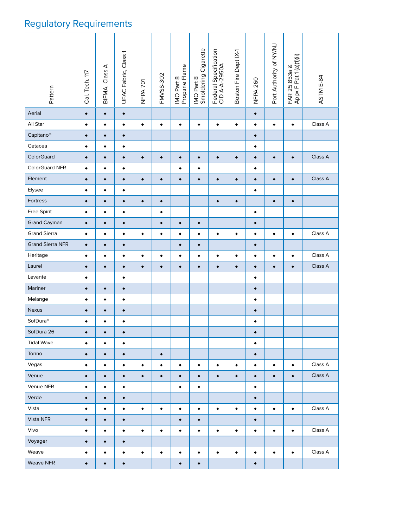# Regulatory Requirements

| Pattern                 | Cal. Tech. 117 | BIFMA, Class A | UFAC Fabric, Class 1 | NFPA <sub>701</sub> | FMVSS-302 | IMO Part 8<br>Propane Flame | IMO Part 8<br>Smoldering Cigarette | Federal Specification<br>CID A-A-2950A | Boston Fire Dept IX-1 | <b>NFPA 260</b> | Port Authority of NY/NJ | FAR 25.853a &<br>Appx F Pat 1 (a)(1)(ii) | ASTM E-84 |  |
|-------------------------|----------------|----------------|----------------------|---------------------|-----------|-----------------------------|------------------------------------|----------------------------------------|-----------------------|-----------------|-------------------------|------------------------------------------|-----------|--|
| Aerial                  | $\bullet$      | $\bullet$      | $\bullet$            |                     |           |                             |                                    |                                        |                       | $\bullet$       |                         |                                          |           |  |
| All Star                | $\bullet$      | $\bullet$      | $\bullet$            | $\bullet$           | $\bullet$ | $\bullet$                   | $\bullet$                          | $\bullet$                              | $\bullet$             | $\bullet$       | $\bullet$               | $\bullet$                                | Class A   |  |
| Capitano <sup>®</sup>   | $\bullet$      | $\bullet$      | $\bullet$            |                     |           |                             |                                    |                                        |                       | $\bullet$       |                         |                                          |           |  |
| Cetacea                 | $\bullet$      | $\bullet$      | $\bullet$            |                     |           |                             |                                    |                                        |                       | $\bullet$       |                         |                                          |           |  |
| ColorGuard              | $\bullet$      | $\bullet$      | $\bullet$            | $\bullet$           | $\bullet$ | $\bullet$                   | $\bullet$                          | $\bullet$                              | $\bullet$             | $\bullet$       | $\bullet$               | $\bullet$                                | Class A   |  |
| ColorGuard NFR          | $\bullet$      | $\bullet$      | $\bullet$            |                     |           | $\bullet$                   | $\bullet$                          |                                        |                       | $\bullet$       |                         |                                          |           |  |
| Element                 | $\bullet$      | $\bullet$      | $\bullet$            | $\bullet$           | $\bullet$ | $\bullet$                   | $\bullet$                          | $\bullet$                              | $\bullet$             | $\bullet$       | $\bullet$               | $\bullet$                                | Class A   |  |
| Elysee                  | $\bullet$      | $\bullet$      | $\bullet$            |                     |           |                             |                                    |                                        |                       | $\bullet$       |                         |                                          |           |  |
| Fortress                | $\bullet$      | $\bullet$      | $\bullet$            | $\bullet$           | $\bullet$ |                             |                                    | $\bullet$                              | $\bullet$             |                 | $\bullet$               | $\bullet$                                |           |  |
| Free Spirit             | $\bullet$      | $\bullet$      | $\bullet$            |                     | $\bullet$ |                             |                                    |                                        |                       | $\bullet$       |                         |                                          |           |  |
| <b>Grand Cayman</b>     | $\bullet$      | $\bullet$      | $\bullet$            |                     | $\bullet$ | $\bullet$                   | $\bullet$                          |                                        |                       | $\bullet$       |                         |                                          |           |  |
| <b>Grand Sierra</b>     | ٠              | $\bullet$      | $\bullet$            | $\bullet$           | $\bullet$ | $\bullet$                   | $\bullet$                          | $\bullet$                              | $\bullet$             | $\bullet$       | ٠                       | $\bullet$                                | Class A   |  |
| <b>Grand Sierra NFR</b> | $\bullet$      | $\bullet$      | $\bullet$            |                     |           | $\bullet$                   | $\bullet$                          |                                        |                       | $\bullet$       |                         |                                          |           |  |
| Heritage                | $\bullet$      | ٠              | ٠                    | ٠                   | $\bullet$ | ٠                           | ٠                                  | ٠                                      | $\bullet$             | ٠               | ٠                       | $\bullet$                                | Class A   |  |
| Laurel                  | $\bullet$      | $\bullet$      | $\bullet$            | $\bullet$           | $\bullet$ | $\bullet$                   | $\bullet$                          | $\bullet$                              | $\bullet$             | $\bullet$       | $\bullet$               | $\bullet$                                | Class A   |  |
| Levante                 | $\bullet$      |                | $\bullet$            |                     |           |                             |                                    |                                        |                       | $\bullet$       |                         |                                          |           |  |
| Mariner                 | $\bullet$      | $\bullet$      | $\bullet$            |                     |           |                             |                                    |                                        |                       | $\bullet$       |                         |                                          |           |  |
| Melange                 | ٠              | ٠              | $\bullet$            |                     |           |                             |                                    |                                        |                       | ٠               |                         |                                          |           |  |
| Nexus                   | $\bullet$      | $\bullet$      | $\bullet$            |                     |           |                             |                                    |                                        |                       | $\bullet$       |                         |                                          |           |  |
| SofDura <sup>®</sup>    | $\bullet$      | $\bullet$      | $\bullet$            |                     |           |                             |                                    |                                        |                       | $\bullet$       |                         |                                          |           |  |
| SofDura 26              | $\bullet$      | ٠              | $\bullet$            |                     |           |                             |                                    |                                        |                       | $\bullet$       |                         |                                          |           |  |
| <b>Tidal Wave</b>       | ٠              | $\bullet$      | $\bullet$            |                     |           |                             |                                    |                                        |                       | ٠               |                         |                                          |           |  |
| Torino                  | $\bullet$      | $\bullet$      | $\bullet$            |                     | $\bullet$ |                             |                                    |                                        |                       | $\bullet$       |                         |                                          |           |  |
| Vegas                   | $\bullet$      | $\bullet$      | $\bullet$            | $\bullet$           | $\bullet$ | ٠                           | $\bullet$                          | $\bullet$                              | $\bullet$             | $\bullet$       | $\bullet$               | $\bullet$                                | Class A   |  |
| Venue                   | $\bullet$      | $\bullet$      | $\bullet$            | $\bullet$           | $\bullet$ | $\bullet$                   | $\bullet$                          | $\bullet$                              | $\bullet$             | $\bullet$       | $\bullet$               | $\bullet$                                | Class A   |  |
| Venue NFR               | $\bullet$      | $\bullet$      | $\bullet$            |                     |           | $\bullet$                   | ٠                                  |                                        |                       | $\bullet$       |                         |                                          |           |  |
| Verde                   | $\bullet$      | $\bullet$      | $\bullet$            |                     |           |                             |                                    |                                        |                       | $\bullet$       |                         |                                          |           |  |
| Vista                   | $\bullet$      | ٠              | $\bullet$            | $\bullet$           | $\bullet$ | ٠                           | $\bullet$                          | $\bullet$                              | $\bullet$             | $\bullet$       | $\bullet$               | $\bullet$                                | Class A   |  |
| Vista NFR               | $\bullet$      | $\bullet$      | $\bullet$            |                     |           | $\bullet$                   | $\bullet$                          |                                        |                       | $\bullet$       |                         |                                          |           |  |
| Vivo                    | $\bullet$      | $\bullet$      | $\bullet$            | $\bullet$           | $\bullet$ | $\bullet$                   | $\bullet$                          | $\bullet$                              | $\bullet$             | $\bullet$       | $\bullet$               | $\bullet$                                | Class A   |  |
| Voyager                 | $\bullet$      | $\bullet$      | $\bullet$            |                     |           |                             |                                    |                                        |                       |                 |                         |                                          |           |  |
| Weave                   | $\bullet$      | $\bullet$      | $\bullet$            | ۰                   | $\bullet$ | ٠                           | $\bullet$                          | $\bullet$                              | $\bullet$             | $\bullet$       | $\bullet$               | $\bullet$                                | Class A   |  |
| Weave NFR               | $\bullet$      | $\bullet$      | $\bullet$            |                     |           | $\bullet$                   | ٠                                  |                                        |                       | $\bullet$       |                         |                                          |           |  |